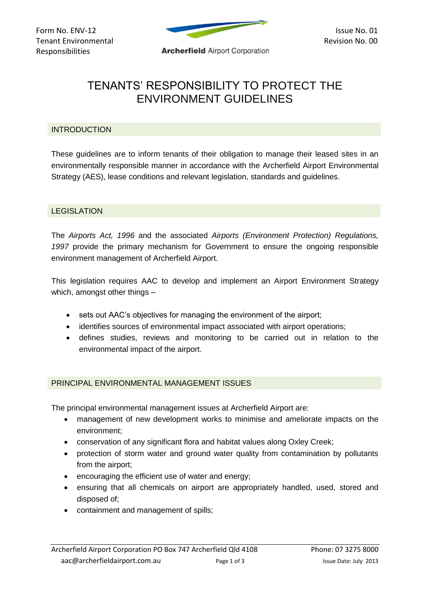

# TENANTS' RESPONSIBILITY TO PROTECT THE ENVIRONMENT GUIDELINES

# INTRODUCTION

These guidelines are to inform tenants of their obligation to manage their leased sites in an environmentally responsible manner in accordance with the Archerfield Airport Environmental Strategy (AES), lease conditions and relevant legislation, standards and guidelines.

### LEGISLATION

The *Airports Act, 1996* and the associated *Airports (Environment Protection) Regulations, 1997* provide the primary mechanism for Government to ensure the ongoing responsible environment management of Archerfield Airport.

This legislation requires AAC to develop and implement an Airport Environment Strategy which, amongst other things –

- sets out AAC's objectives for managing the environment of the airport;
- identifies sources of environmental impact associated with airport operations;
- defines studies, reviews and monitoring to be carried out in relation to the environmental impact of the airport.

# PRINCIPAL ENVIRONMENTAL MANAGEMENT ISSUES

The principal environmental management issues at Archerfield Airport are:

- management of new development works to minimise and ameliorate impacts on the environment;
- conservation of any significant flora and habitat values along Oxley Creek;
- protection of storm water and ground water quality from contamination by pollutants from the airport;
- encouraging the efficient use of water and energy;
- ensuring that all chemicals on airport are appropriately handled, used, stored and disposed of;
- containment and management of spills;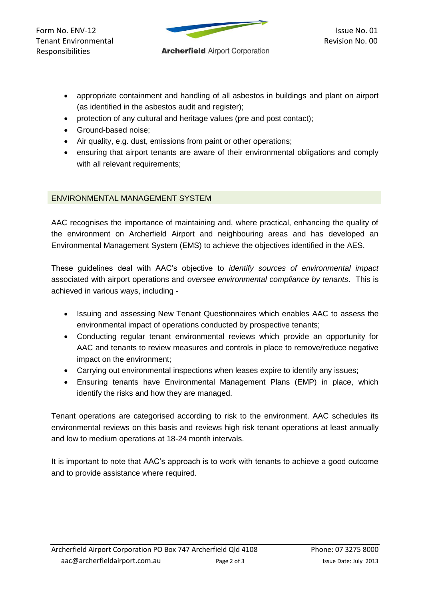Tenant Environmental<br>Responsibilities **Archerfield** Airport Corporation Responsibilities



- appropriate containment and handling of all asbestos in buildings and plant on airport (as identified in the asbestos audit and register);
- protection of any cultural and heritage values (pre and post contact);
- Ground-based noise:
- Air quality, e.g. dust, emissions from paint or other operations;
- ensuring that airport tenants are aware of their environmental obligations and comply with all relevant requirements;

# ENVIRONMENTAL MANAGEMENT SYSTEM

AAC recognises the importance of maintaining and, where practical, enhancing the quality of the environment on Archerfield Airport and neighbouring areas and has developed an Environmental Management System (EMS) to achieve the objectives identified in the AES.

These guidelines deal with AAC's objective to *identify sources of environmental impact* associated with airport operations and *oversee environmental compliance by tenants*. This is achieved in various ways, including -

- Issuing and assessing New Tenant Questionnaires which enables AAC to assess the environmental impact of operations conducted by prospective tenants;
- Conducting regular tenant environmental reviews which provide an opportunity for AAC and tenants to review measures and controls in place to remove/reduce negative impact on the environment;
- Carrying out environmental inspections when leases expire to identify any issues;
- Ensuring tenants have Environmental Management Plans (EMP) in place, which identify the risks and how they are managed.

Tenant operations are categorised according to risk to the environment. AAC schedules its environmental reviews on this basis and reviews high risk tenant operations at least annually and low to medium operations at 18-24 month intervals.

It is important to note that AAC's approach is to work with tenants to achieve a good outcome and to provide assistance where required.